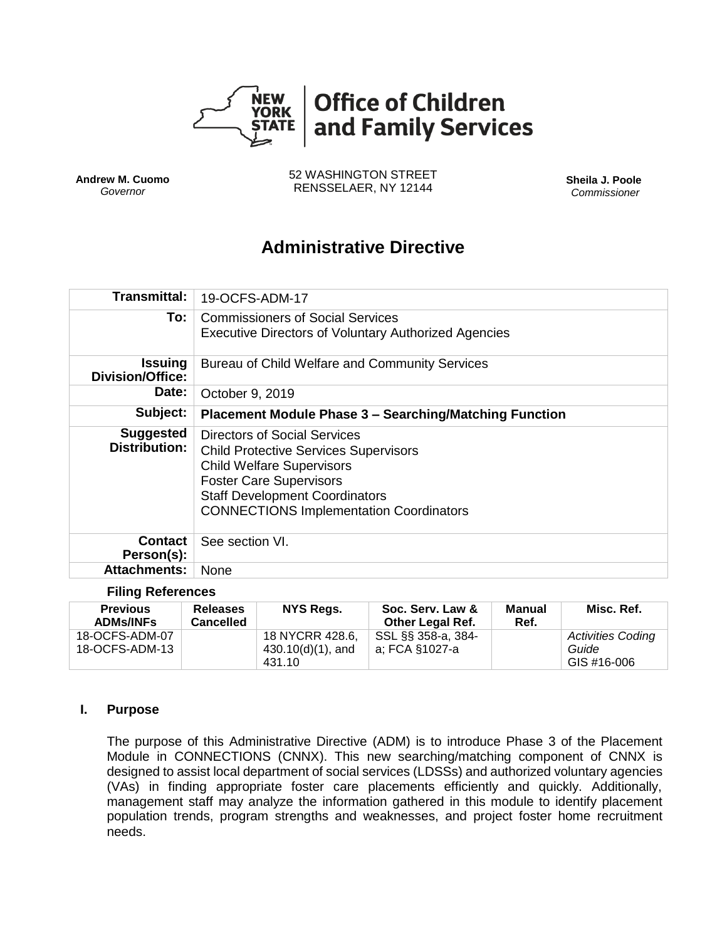

**Andrew M. Cuomo** *Governor*

52 WASHINGTON STREET RENSSELAER, NY 12144 **Sheila J. Poole**

*Commissioner*

# **Administrative Directive**

| Transmittal:                              | 19-OCFS-ADM-17                                                                                                                                                                                                                                |  |  |
|-------------------------------------------|-----------------------------------------------------------------------------------------------------------------------------------------------------------------------------------------------------------------------------------------------|--|--|
| To:                                       | Commissioners of Social Services<br><b>Executive Directors of Voluntary Authorized Agencies</b>                                                                                                                                               |  |  |
| <b>Issuing</b><br><b>Division/Office:</b> | Bureau of Child Welfare and Community Services                                                                                                                                                                                                |  |  |
| Date:                                     | October 9, 2019                                                                                                                                                                                                                               |  |  |
| Subject:                                  | <b>Placement Module Phase 3 - Searching/Matching Function</b>                                                                                                                                                                                 |  |  |
| <b>Suggested</b><br><b>Distribution:</b>  | Directors of Social Services<br><b>Child Protective Services Supervisors</b><br><b>Child Welfare Supervisors</b><br><b>Foster Care Supervisors</b><br><b>Staff Development Coordinators</b><br><b>CONNECTIONS Implementation Coordinators</b> |  |  |
| <b>Contact</b><br>Person(s):              | See section VI.                                                                                                                                                                                                                               |  |  |
| <b>Attachments:</b>                       | None                                                                                                                                                                                                                                          |  |  |

#### **Filing References**

| <b>Previous</b><br><b>ADMs/INFs</b> | <b>Releases</b><br><b>Cancelled</b> | NYS Regs.                            | Soc. Serv. Law &<br><b>Other Legal Ref.</b> | Manual<br>Ref. | Misc. Ref.                        |
|-------------------------------------|-------------------------------------|--------------------------------------|---------------------------------------------|----------------|-----------------------------------|
| 18-OCFS-ADM-07<br>18-OCFS-ADM-13    |                                     | 18 NYCRR 428.6,<br>430.10(d)(1), and | SSL §§ 358-a, 384-<br>a; FCA §1027-a        |                | <b>Activities Coding</b><br>Guide |
|                                     |                                     | 431.10                               |                                             |                | GIS #16-006                       |

#### **I. Purpose**

The purpose of this Administrative Directive (ADM) is to introduce Phase 3 of the Placement Module in CONNECTIONS (CNNX). This new searching/matching component of CNNX is designed to assist local department of social services (LDSSs) and authorized voluntary agencies (VAs) in finding appropriate foster care placements efficiently and quickly. Additionally, management staff may analyze the information gathered in this module to identify placement population trends, program strengths and weaknesses, and project foster home recruitment needs.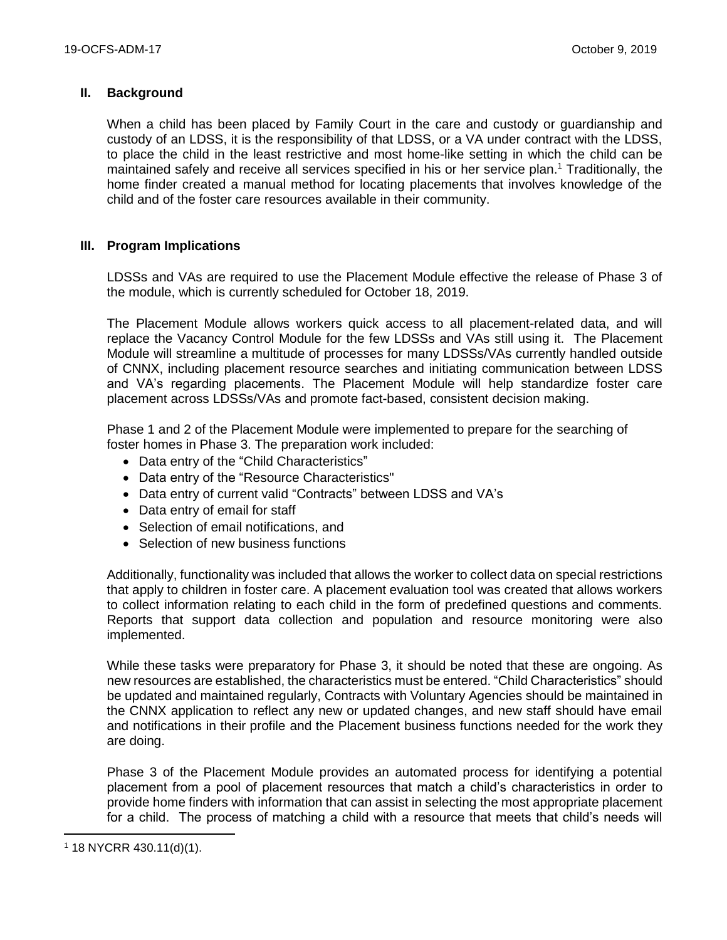## **II. Background**

When a child has been placed by Family Court in the care and custody or guardianship and custody of an LDSS, it is the responsibility of that LDSS, or a VA under contract with the LDSS, to place the child in the least restrictive and most home-like setting in which the child can be maintained safely and receive all services specified in his or her service plan.<sup>1</sup> Traditionally, the home finder created a manual method for locating placements that involves knowledge of the child and of the foster care resources available in their community.

## **III. Program Implications**

LDSSs and VAs are required to use the Placement Module effective the release of Phase 3 of the module, which is currently scheduled for October 18, 2019.

The Placement Module allows workers quick access to all placement-related data, and will replace the Vacancy Control Module for the few LDSSs and VAs still using it. The Placement Module will streamline a multitude of processes for many LDSSs/VAs currently handled outside of CNNX, including placement resource searches and initiating communication between LDSS and VA's regarding placements. The Placement Module will help standardize foster care placement across LDSSs/VAs and promote fact-based, consistent decision making.

Phase 1 and 2 of the Placement Module were implemented to prepare for the searching of foster homes in Phase 3. The preparation work included:

- Data entry of the "Child Characteristics"
- Data entry of the "Resource Characteristics"
- Data entry of current valid "Contracts" between LDSS and VA's
- Data entry of email for staff
- Selection of email notifications, and
- Selection of new business functions

Additionally, functionality was included that allows the worker to collect data on special restrictions that apply to children in foster care. A placement evaluation tool was created that allows workers to collect information relating to each child in the form of predefined questions and comments. Reports that support data collection and population and resource monitoring were also implemented.

While these tasks were preparatory for Phase 3, it should be noted that these are ongoing. As new resources are established, the characteristics must be entered. "Child Characteristics" should be updated and maintained regularly, Contracts with Voluntary Agencies should be maintained in the CNNX application to reflect any new or updated changes, and new staff should have email and notifications in their profile and the Placement business functions needed for the work they are doing.

Phase 3 of the Placement Module provides an automated process for identifying a potential placement from a pool of placement resources that match a child's characteristics in order to provide home finders with information that can assist in selecting the most appropriate placement for a child. The process of matching a child with a resource that meets that child's needs will

 $\overline{a}$ 

<sup>1</sup> 18 NYCRR 430.11(d)(1).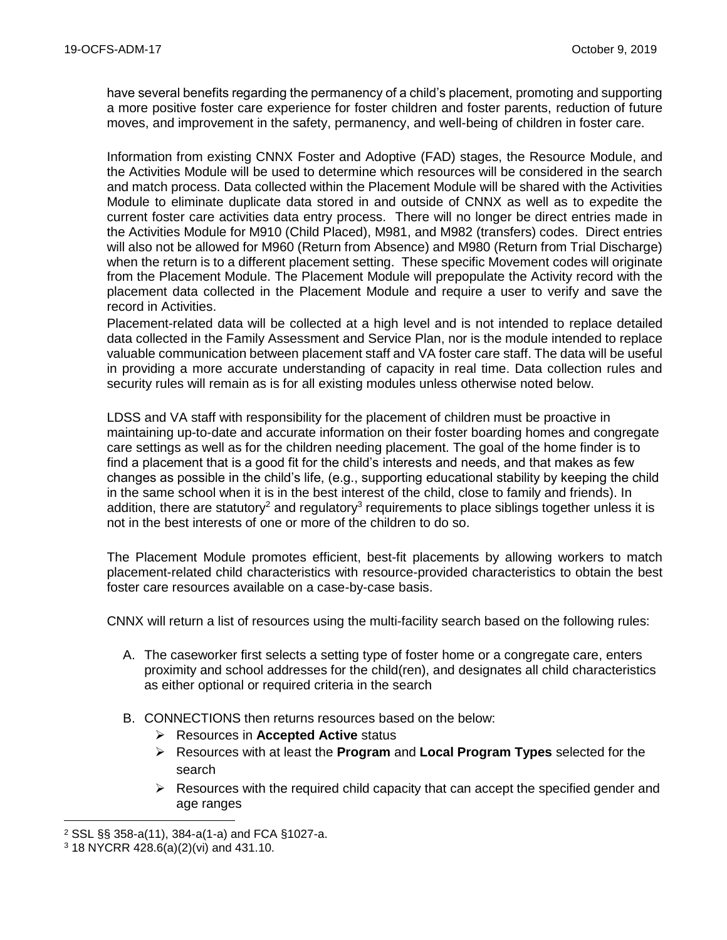have several benefits regarding the permanency of a child's placement, promoting and supporting a more positive foster care experience for foster children and foster parents, reduction of future moves, and improvement in the safety, permanency, and well-being of children in foster care.

Information from existing CNNX Foster and Adoptive (FAD) stages, the Resource Module, and the Activities Module will be used to determine which resources will be considered in the search and match process. Data collected within the Placement Module will be shared with the Activities Module to eliminate duplicate data stored in and outside of CNNX as well as to expedite the current foster care activities data entry process. There will no longer be direct entries made in the Activities Module for M910 (Child Placed), M981, and M982 (transfers) codes. Direct entries will also not be allowed for M960 (Return from Absence) and M980 (Return from Trial Discharge) when the return is to a different placement setting. These specific Movement codes will originate from the Placement Module. The Placement Module will prepopulate the Activity record with the placement data collected in the Placement Module and require a user to verify and save the record in Activities.

Placement-related data will be collected at a high level and is not intended to replace detailed data collected in the Family Assessment and Service Plan, nor is the module intended to replace valuable communication between placement staff and VA foster care staff. The data will be useful in providing a more accurate understanding of capacity in real time. Data collection rules and security rules will remain as is for all existing modules unless otherwise noted below.

LDSS and VA staff with responsibility for the placement of children must be proactive in maintaining up-to-date and accurate information on their foster boarding homes and congregate care settings as well as for the children needing placement. The goal of the home finder is to find a placement that is a good fit for the child's interests and needs, and that makes as few changes as possible in the child's life, (e.g., supporting educational stability by keeping the child in the same school when it is in the best interest of the child, close to family and friends). In addition, there are statutory<sup>2</sup> and regulatory<sup>3</sup> requirements to place siblings together unless it is not in the best interests of one or more of the children to do so.

The Placement Module promotes efficient, best-fit placements by allowing workers to match placement-related child characteristics with resource-provided characteristics to obtain the best foster care resources available on a case-by-case basis.

CNNX will return a list of resources using the multi-facility search based on the following rules:

- A. The caseworker first selects a setting type of foster home or a congregate care, enters proximity and school addresses for the child(ren), and designates all child characteristics as either optional or required criteria in the search
- B. CONNECTIONS then returns resources based on the below:
	- ➢ Resources in **Accepted Active** status
	- ➢ Resources with at least the **Program** and **Local Program Types** selected for the search
	- $\triangleright$  Resources with the required child capacity that can accept the specified gender and age ranges

 $\overline{a}$ 

<sup>2</sup> SSL §§ 358-a(11), 384-a(1-a) and FCA §1027-a.

<sup>3</sup> 18 NYCRR 428.6(a)(2)(vi) and 431.10.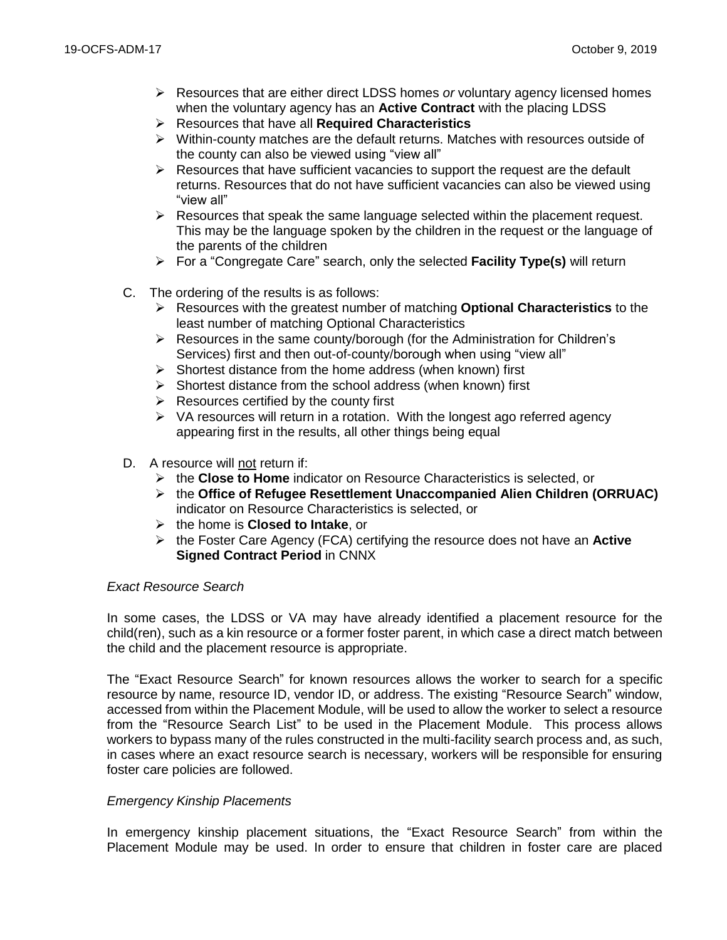- ➢ Resources that are either direct LDSS homes *or* voluntary agency licensed homes when the voluntary agency has an **Active Contract** with the placing LDSS
- ➢ Resources that have all **Required Characteristics**
- $\triangleright$  Within-county matches are the default returns. Matches with resources outside of the county can also be viewed using "view all"
- ➢ Resources that have sufficient vacancies to support the request are the default returns. Resources that do not have sufficient vacancies can also be viewed using "view all"
- $\triangleright$  Resources that speak the same language selected within the placement request. This may be the language spoken by the children in the request or the language of the parents of the children
- ➢ For a "Congregate Care" search, only the selected **Facility Type(s)** will return
- C. The ordering of the results is as follows:
	- ➢ Resources with the greatest number of matching **Optional Characteristics** to the least number of matching Optional Characteristics
	- $\triangleright$  Resources in the same county/borough (for the Administration for Children's Services) first and then out-of-county/borough when using "view all"
	- $\triangleright$  Shortest distance from the home address (when known) first
	- $\triangleright$  Shortest distance from the school address (when known) first
	- $\triangleright$  Resources certified by the county first
	- $\triangleright$  VA resources will return in a rotation. With the longest ago referred agency appearing first in the results, all other things being equal
- D. A resource will not return if:
	- ➢ the **Close to Home** indicator on Resource Characteristics is selected, or
	- ➢ the **Office of Refugee Resettlement Unaccompanied Alien Children (ORRUAC)** indicator on Resource Characteristics is selected, or
	- ➢ the home is **Closed to Intake**, or
	- ➢ the Foster Care Agency (FCA) certifying the resource does not have an **Active Signed Contract Period** in CNNX

#### *Exact Resource Search*

In some cases, the LDSS or VA may have already identified a placement resource for the child(ren), such as a kin resource or a former foster parent, in which case a direct match between the child and the placement resource is appropriate.

The "Exact Resource Search" for known resources allows the worker to search for a specific resource by name, resource ID, vendor ID, or address. The existing "Resource Search" window, accessed from within the Placement Module, will be used to allow the worker to select a resource from the "Resource Search List" to be used in the Placement Module. This process allows workers to bypass many of the rules constructed in the multi-facility search process and, as such, in cases where an exact resource search is necessary, workers will be responsible for ensuring foster care policies are followed.

#### *Emergency Kinship Placements*

In emergency kinship placement situations, the "Exact Resource Search" from within the Placement Module may be used. In order to ensure that children in foster care are placed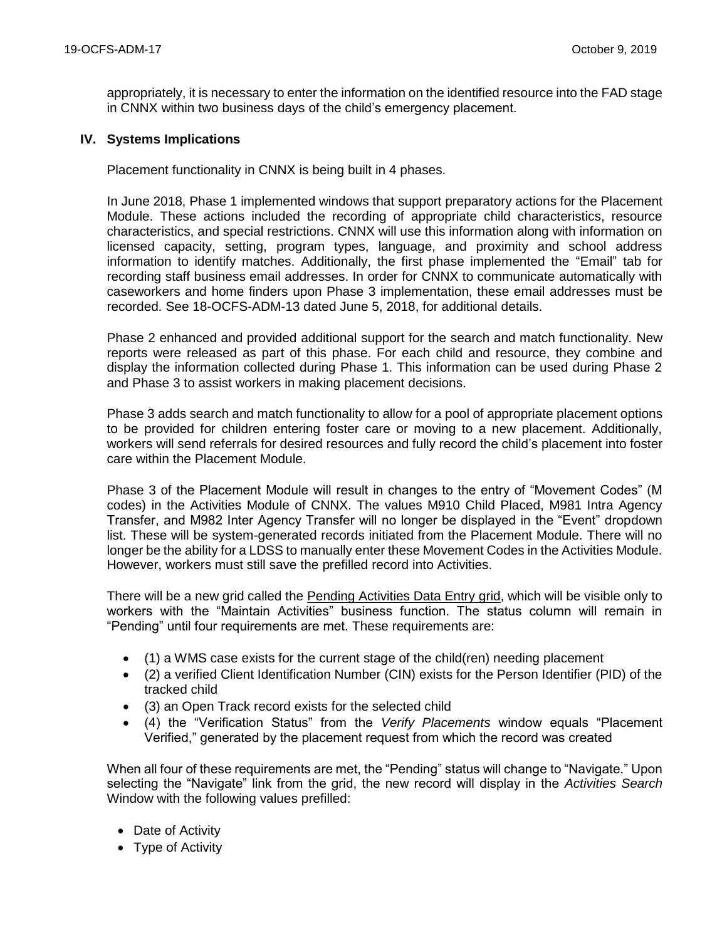appropriately, it is necessary to enter the information on the identified resource into the FAD stage in CNNX within two business days of the child's emergency placement.

#### **IV. Systems Implications**

Placement functionality in CNNX is being built in 4 phases.

In June 2018, Phase 1 implemented windows that support preparatory actions for the Placement Module. These actions included the recording of appropriate child characteristics, resource characteristics, and special restrictions. CNNX will use this information along with information on licensed capacity, setting, program types, language, and proximity and school address information to identify matches. Additionally, the first phase implemented the "Email" tab for recording staff business email addresses. In order for CNNX to communicate automatically with caseworkers and home finders upon Phase 3 implementation, these email addresses must be recorded. See 18-OCFS-ADM-13 dated June 5, 2018, for additional details.

Phase 2 enhanced and provided additional support for the search and match functionality. New reports were released as part of this phase. For each child and resource, they combine and display the information collected during Phase 1. This information can be used during Phase 2 and Phase 3 to assist workers in making placement decisions.

Phase 3 adds search and match functionality to allow for a pool of appropriate placement options to be provided for children entering foster care or moving to a new placement. Additionally, workers will send referrals for desired resources and fully record the child's placement into foster care within the Placement Module.

Phase 3 of the Placement Module will result in changes to the entry of "Movement Codes" (M codes) in the Activities Module of CNNX. The values M910 Child Placed, M981 Intra Agency Transfer, and M982 Inter Agency Transfer will no longer be displayed in the "Event" dropdown list. These will be system-generated records initiated from the Placement Module. There will no longer be the ability for a LDSS to manually enter these Movement Codes in the Activities Module. However, workers must still save the prefilled record into Activities.

There will be a new grid called the Pending Activities Data Entry grid, which will be visible only to workers with the "Maintain Activities" business function. The status column will remain in "Pending" until four requirements are met. These requirements are:

- (1) a WMS case exists for the current stage of the child(ren) needing placement
- (2) a verified Client Identification Number (CIN) exists for the Person Identifier (PID) of the tracked child
- (3) an Open Track record exists for the selected child
- (4) the "Verification Status" from the *Verify Placements* window equals "Placement Verified," generated by the placement request from which the record was created

When all four of these requirements are met, the "Pending" status will change to "Navigate." Upon selecting the "Navigate" link from the grid, the new record will display in the *Activities Search* Window with the following values prefilled:

- Date of Activity
- Type of Activity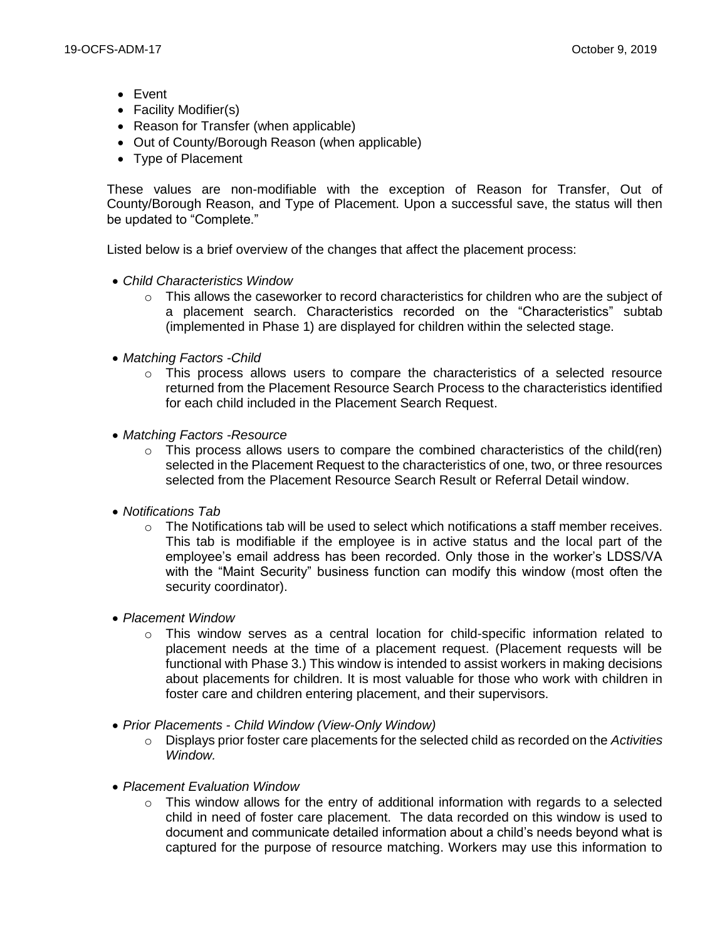- Event
- Facility Modifier(s)
- Reason for Transfer (when applicable)
- Out of County/Borough Reason (when applicable)
- Type of Placement

These values are non-modifiable with the exception of Reason for Transfer, Out of County/Borough Reason, and Type of Placement. Upon a successful save, the status will then be updated to "Complete."

Listed below is a brief overview of the changes that affect the placement process:

- *Child Characteristics Window*
	- $\circ$  This allows the caseworker to record characteristics for children who are the subject of a placement search. Characteristics recorded on the "Characteristics" subtab (implemented in Phase 1) are displayed for children within the selected stage.
- *Matching Factors -Child*
	- $\circ$  This process allows users to compare the characteristics of a selected resource returned from the Placement Resource Search Process to the characteristics identified for each child included in the Placement Search Request.
- *Matching Factors -Resource*
	- $\circ$  This process allows users to compare the combined characteristics of the child(ren) selected in the Placement Request to the characteristics of one, two, or three resources selected from the Placement Resource Search Result or Referral Detail window.
- *Notifications Tab*
	- $\circ$  The Notifications tab will be used to select which notifications a staff member receives. This tab is modifiable if the employee is in active status and the local part of the employee's email address has been recorded. Only those in the worker's LDSS/VA with the "Maint Security" business function can modify this window (most often the security coordinator).
- *Placement Window*
	- $\circ$  This window serves as a central location for child-specific information related to placement needs at the time of a placement request. (Placement requests will be functional with Phase 3.) This window is intended to assist workers in making decisions about placements for children. It is most valuable for those who work with children in foster care and children entering placement, and their supervisors.
- *Prior Placements - Child Window (View-Only Window)*
	- o Displays prior foster care placements for the selected child as recorded on the *Activities Window.*
- *Placement Evaluation Window*
	- $\circ$  This window allows for the entry of additional information with regards to a selected child in need of foster care placement. The data recorded on this window is used to document and communicate detailed information about a child's needs beyond what is captured for the purpose of resource matching. Workers may use this information to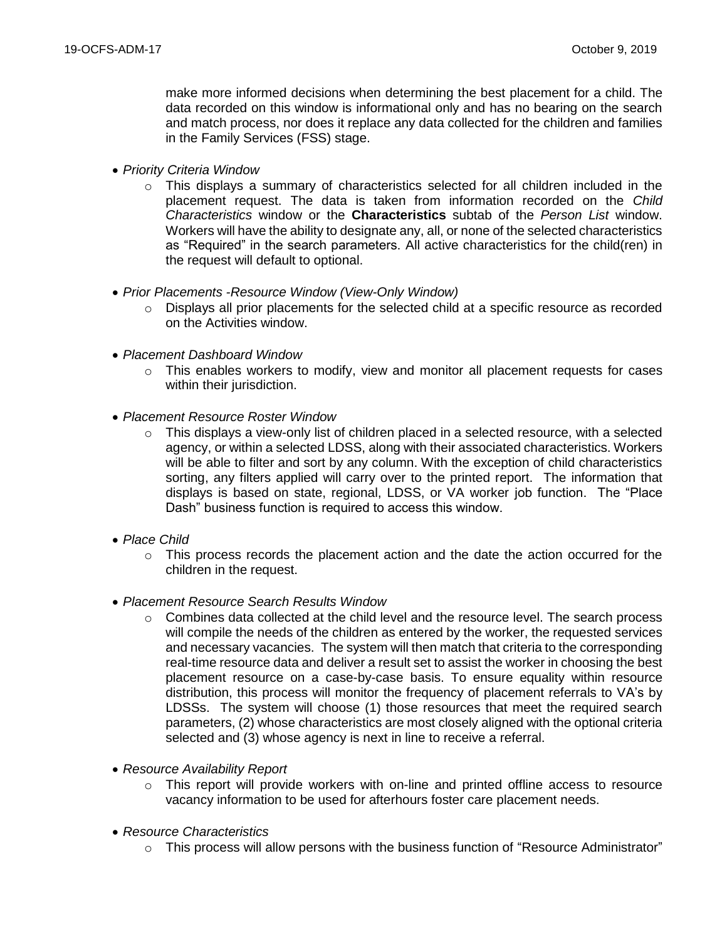make more informed decisions when determining the best placement for a child. The data recorded on this window is informational only and has no bearing on the search and match process, nor does it replace any data collected for the children and families in the Family Services (FSS) stage.

- *Priority Criteria Window*
	- This displays a summary of characteristics selected for all children included in the placement request. The data is taken from information recorded on the *Child Characteristics* window or the **Characteristics** subtab of the *Person List* window. Workers will have the ability to designate any, all, or none of the selected characteristics as "Required" in the search parameters. All active characteristics for the child(ren) in the request will default to optional.
- *Prior Placements -Resource Window (View-Only Window)*
	- $\circ$  Displays all prior placements for the selected child at a specific resource as recorded on the Activities window.
- *Placement Dashboard Window*
	- $\circ$  This enables workers to modify, view and monitor all placement requests for cases within their jurisdiction.
- *Placement Resource Roster Window*
	- $\circ$  This displays a view-only list of children placed in a selected resource, with a selected agency, or within a selected LDSS, along with their associated characteristics. Workers will be able to filter and sort by any column. With the exception of child characteristics sorting, any filters applied will carry over to the printed report. The information that displays is based on state, regional, LDSS, or VA worker job function. The "Place Dash" business function is required to access this window.
- *Place Child*
	- $\circ$  This process records the placement action and the date the action occurred for the children in the request.
- *Placement Resource Search Results Window*
	- $\circ$  Combines data collected at the child level and the resource level. The search process will compile the needs of the children as entered by the worker, the requested services and necessary vacancies. The system will then match that criteria to the corresponding real-time resource data and deliver a result set to assist the worker in choosing the best placement resource on a case-by-case basis. To ensure equality within resource distribution, this process will monitor the frequency of placement referrals to VA's by LDSSs. The system will choose (1) those resources that meet the required search parameters, (2) whose characteristics are most closely aligned with the optional criteria selected and (3) whose agency is next in line to receive a referral.
- *Resource Availability Report*
	- $\circ$  This report will provide workers with on-line and printed offline access to resource vacancy information to be used for afterhours foster care placement needs.
- *Resource Characteristics*
	- $\circ$  This process will allow persons with the business function of "Resource Administrator"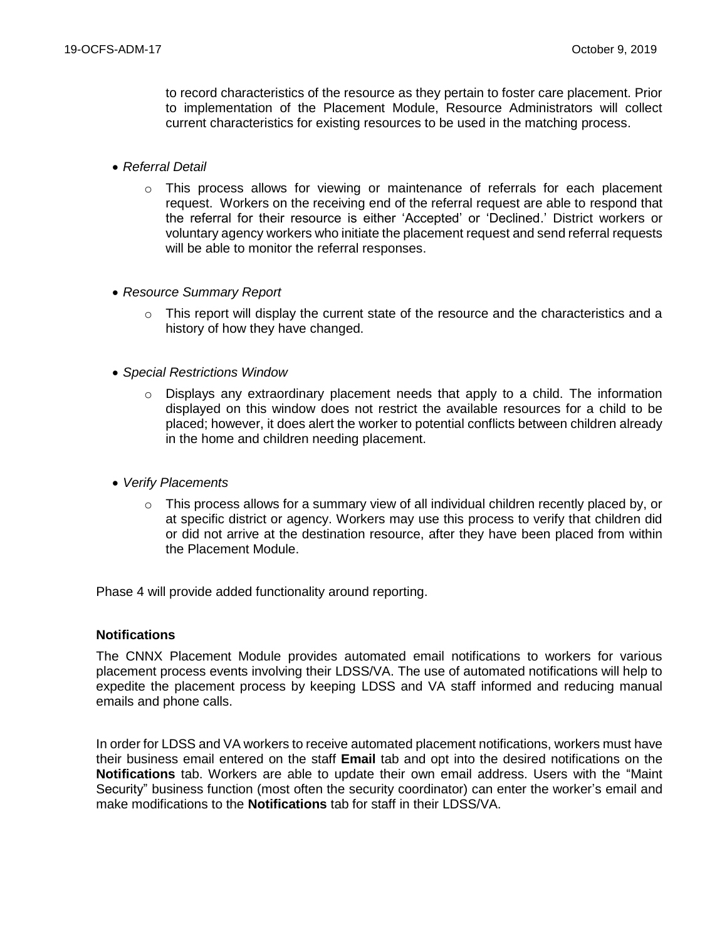to record characteristics of the resource as they pertain to foster care placement. Prior to implementation of the Placement Module, Resource Administrators will collect current characteristics for existing resources to be used in the matching process.

- *Referral Detail*
	- $\circ$  This process allows for viewing or maintenance of referrals for each placement request. Workers on the receiving end of the referral request are able to respond that the referral for their resource is either 'Accepted' or 'Declined.' District workers or voluntary agency workers who initiate the placement request and send referral requests will be able to monitor the referral responses.
- *Resource Summary Report*
	- o This report will display the current state of the resource and the characteristics and a history of how they have changed.
- *Special Restrictions Window*
	- $\circ$  Displays any extraordinary placement needs that apply to a child. The information displayed on this window does not restrict the available resources for a child to be placed; however, it does alert the worker to potential conflicts between children already in the home and children needing placement.
- *Verify Placements*
	- $\circ$  This process allows for a summary view of all individual children recently placed by, or at specific district or agency. Workers may use this process to verify that children did or did not arrive at the destination resource, after they have been placed from within the Placement Module.

Phase 4 will provide added functionality around reporting.

### **Notifications**

The CNNX Placement Module provides automated email notifications to workers for various placement process events involving their LDSS/VA. The use of automated notifications will help to expedite the placement process by keeping LDSS and VA staff informed and reducing manual emails and phone calls.

In order for LDSS and VA workers to receive automated placement notifications, workers must have their business email entered on the staff **Email** tab and opt into the desired notifications on the **Notifications** tab. Workers are able to update their own email address. Users with the "Maint Security" business function (most often the security coordinator) can enter the worker's email and make modifications to the **Notifications** tab for staff in their LDSS/VA.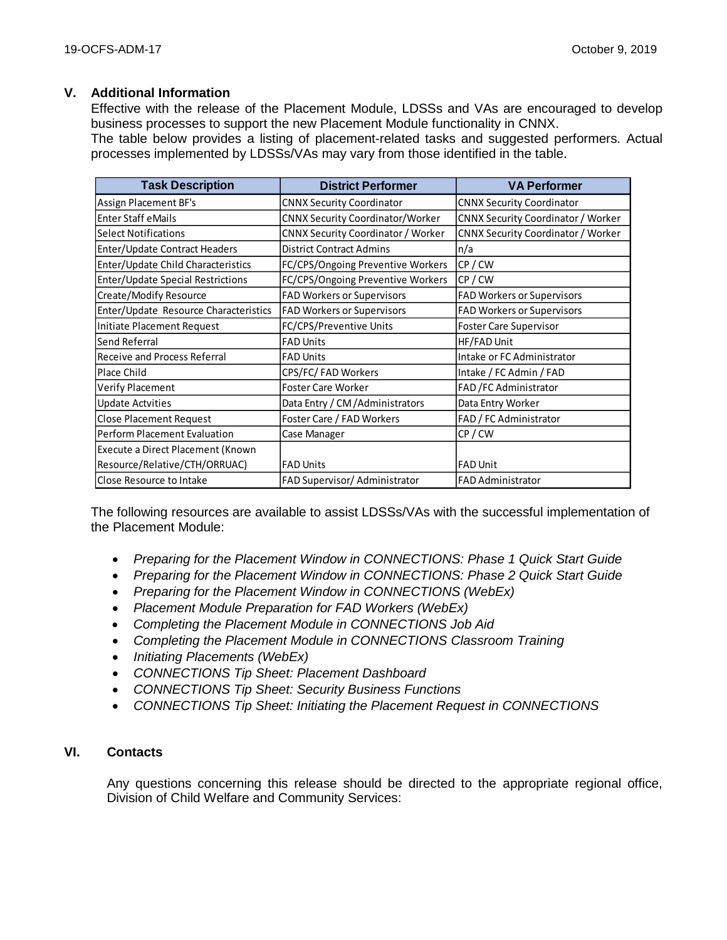## **V. Additional Information**

Effective with the release of the Placement Module, LDSSs and VAs are encouraged to develop business processes to support the new Placement Module functionality in CNNX.

The table below provides a listing of placement-related tasks and suggested performers. Actual processes implemented by LDSSs/VAs may vary from those identified in the table.

| <b>Task Description</b>               | <b>District Performer</b>                 | <b>VA Performer</b>                       |  |
|---------------------------------------|-------------------------------------------|-------------------------------------------|--|
| <b>Assign Placement BF's</b>          | <b>CNNX Security Coordinator</b>          | <b>CNNX Security Coordinator</b>          |  |
| <b>Enter Staff eMails</b>             | <b>CNNX Security Coordinator/Worker</b>   | <b>CNNX Security Coordinator / Worker</b> |  |
| <b>Select Notifications</b>           | <b>CNNX Security Coordinator / Worker</b> | <b>CNNX Security Coordinator / Worker</b> |  |
| Enter/Update Contract Headers         | <b>District Contract Admins</b>           | n/a                                       |  |
| Enter/Update Child Characteristics    | FC/CPS/Ongoing Preventive Workers         | CP/CW                                     |  |
| Enter/Update Special Restrictions     | FC/CPS/Ongoing Preventive Workers         | CP/CW                                     |  |
| Create/Modify Resource                | FAD Workers or Supervisors                | <b>FAD Workers or Supervisors</b>         |  |
| Enter/Update Resource Characteristics | <b>FAD Workers or Supervisors</b>         | <b>FAD Workers or Supervisors</b>         |  |
| Initiate Placement Request            | FC/CPS/Preventive Units                   | <b>Foster Care Supervisor</b>             |  |
| Send Referral                         | <b>FAD Units</b>                          | HF/FAD Unit                               |  |
| <b>Receive and Process Referral</b>   | <b>FAD Units</b>                          | Intake or FC Administrator                |  |
| Place Child                           | CPS/FC/ FAD Workers                       | Intake / FC Admin / FAD                   |  |
| <b>Verify Placement</b>               | Foster Care Worker                        | FAD / FC Administrator                    |  |
| <b>Update Actvities</b>               | Data Entry / CM / Administrators          | Data Entry Worker                         |  |
| <b>Close Placement Request</b>        | Foster Care / FAD Workers                 | FAD / FC Administrator                    |  |
| Perform Placement Evaluation          | Case Manager                              | CP/CW                                     |  |
| Execute a Direct Placement (Known     |                                           |                                           |  |
| Resource/Relative/CTH/ORRUAC)         | <b>FAD Units</b>                          | <b>FAD Unit</b>                           |  |
| <b>Close Resource to Intake</b>       | FAD Supervisor/ Administrator             | <b>FAD Administrator</b>                  |  |

The following resources are available to assist LDSSs/VAs with the successful implementation of the Placement Module:

- *Preparing for the Placement Window in CONNECTIONS: Phase 1 Quick Start Guide*
- *Preparing for the Placement Window in CONNECTIONS: Phase 2 Quick Start Guide*
- *Preparing for the Placement Window in CONNECTIONS (WebEx)*
- *Placement Module Preparation for FAD Workers (WebEx)*
- *Completing the Placement Module in CONNECTIONS Job Aid*
- *Completing the Placement Module in CONNECTIONS Classroom Training*
- *Initiating Placements (WebEx)*
- *CONNECTIONS Tip Sheet: Placement Dashboard*
- *CONNECTIONS Tip Sheet: Security Business Functions*
- *CONNECTIONS Tip Sheet: Initiating the Placement Request in CONNECTIONS*

## **VI. Contacts**

Any questions concerning this release should be directed to the appropriate regional office, Division of Child Welfare and Community Services: